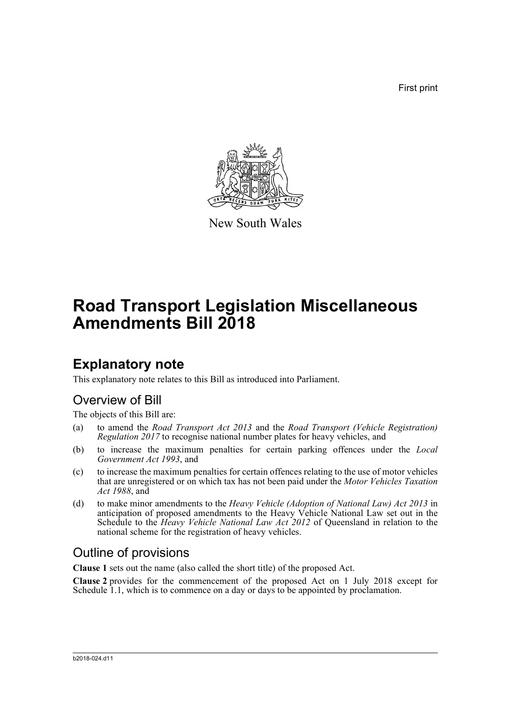First print



New South Wales

# **Road Transport Legislation Miscellaneous Amendments Bill 2018**

## **Explanatory note**

This explanatory note relates to this Bill as introduced into Parliament.

## Overview of Bill

The objects of this Bill are:

- (a) to amend the *Road Transport Act 2013* and the *Road Transport (Vehicle Registration) Regulation 2017* to recognise national number plates for heavy vehicles, and
- (b) to increase the maximum penalties for certain parking offences under the *Local Government Act 1993*, and
- (c) to increase the maximum penalties for certain offences relating to the use of motor vehicles that are unregistered or on which tax has not been paid under the *Motor Vehicles Taxation Act 1988*, and
- (d) to make minor amendments to the *Heavy Vehicle (Adoption of National Law) Act 2013* in anticipation of proposed amendments to the Heavy Vehicle National Law set out in the Schedule to the *Heavy Vehicle National Law Act 2012* of Queensland in relation to the national scheme for the registration of heavy vehicles.

### Outline of provisions

**Clause 1** sets out the name (also called the short title) of the proposed Act.

**Clause 2** provides for the commencement of the proposed Act on 1 July 2018 except for Schedule 1.1, which is to commence on a day or days to be appointed by proclamation.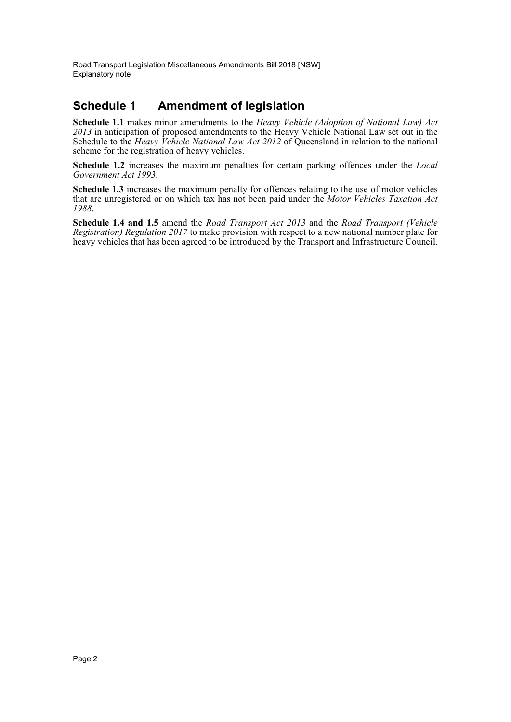### **Schedule 1 Amendment of legislation**

**Schedule 1.1** makes minor amendments to the *Heavy Vehicle (Adoption of National Law) Act 2013* in anticipation of proposed amendments to the Heavy Vehicle National Law set out in the Schedule to the *Heavy Vehicle National Law Act 2012* of Queensland in relation to the national scheme for the registration of heavy vehicles.

**Schedule 1.2** increases the maximum penalties for certain parking offences under the *Local Government Act 1993*.

**Schedule 1.3** increases the maximum penalty for offences relating to the use of motor vehicles that are unregistered or on which tax has not been paid under the *Motor Vehicles Taxation Act 1988*.

**Schedule 1.4 and 1.5** amend the *Road Transport Act 2013* and the *Road Transport (Vehicle Registration) Regulation 2017* to make provision with respect to a new national number plate for heavy vehicles that has been agreed to be introduced by the Transport and Infrastructure Council.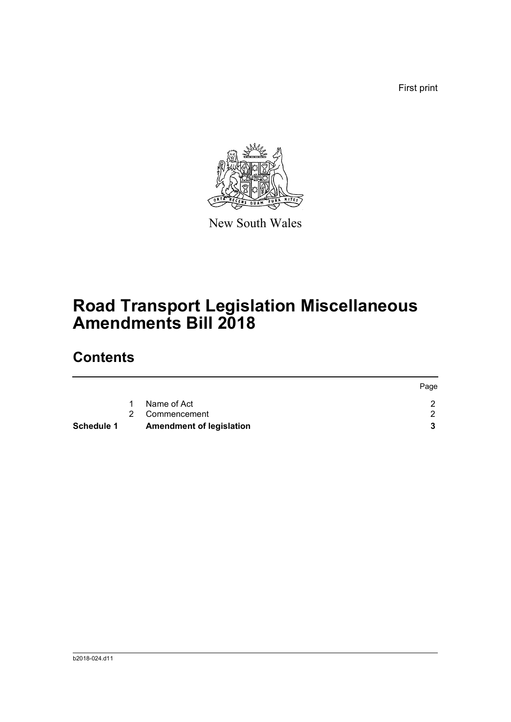First print



New South Wales

# **Road Transport Legislation Miscellaneous Amendments Bill 2018**

## **Contents**

|            |                                 | Page |
|------------|---------------------------------|------|
|            | Name of Act                     |      |
|            | 2 Commencement                  |      |
| Schedule 1 | <b>Amendment of legislation</b> |      |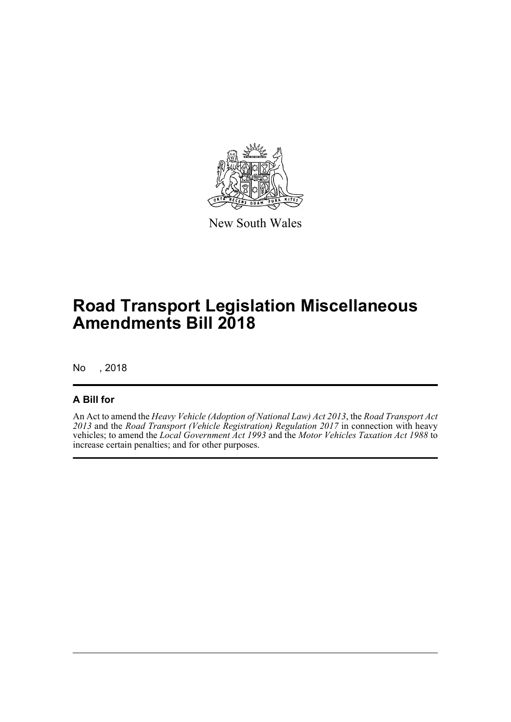

New South Wales

# **Road Transport Legislation Miscellaneous Amendments Bill 2018**

No , 2018

### **A Bill for**

An Act to amend the *Heavy Vehicle (Adoption of National Law) Act 2013*, the *Road Transport Act 2013* and the *Road Transport (Vehicle Registration) Regulation 2017* in connection with heavy vehicles; to amend the *Local Government Act 1993* and the *Motor Vehicles Taxation Act 1988* to increase certain penalties; and for other purposes.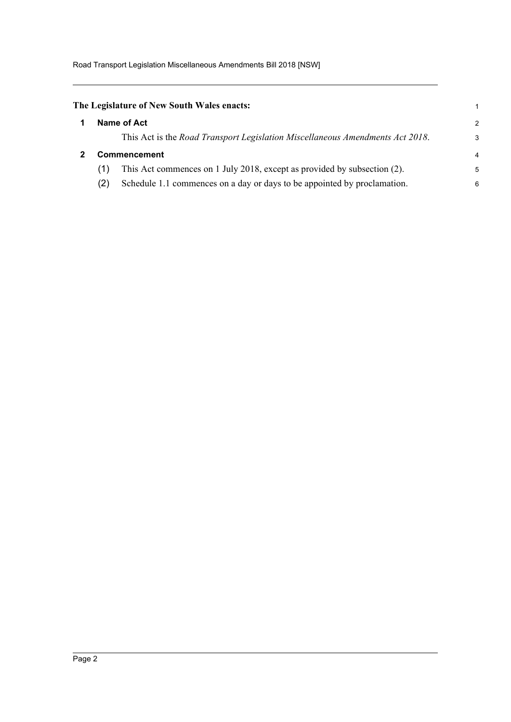<span id="page-4-1"></span><span id="page-4-0"></span>

|                     | The Legislature of New South Wales enacts:                                    |   |
|---------------------|-------------------------------------------------------------------------------|---|
|                     | Name of Act                                                                   | 2 |
|                     | This Act is the Road Transport Legislation Miscellaneous Amendments Act 2018. | 3 |
| <b>Commencement</b> |                                                                               | 4 |
| (1)                 | This Act commences on 1 July 2018, except as provided by subsection (2).      | 5 |
| (2)                 | Schedule 1.1 commences on a day or days to be appointed by proclamation.      | 6 |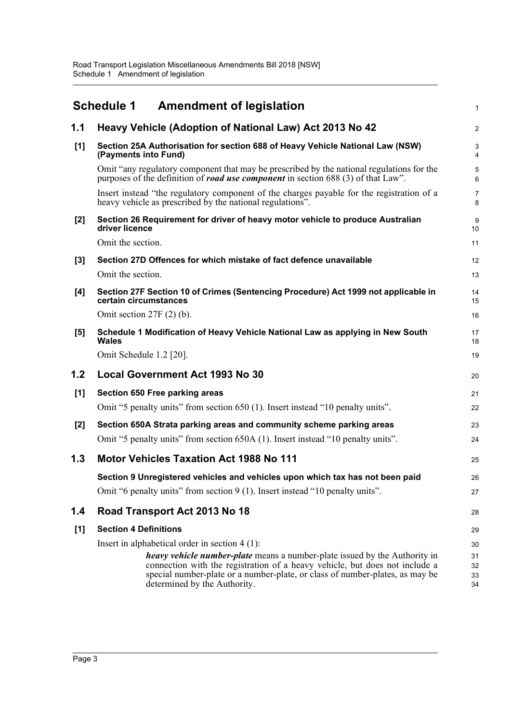<span id="page-5-0"></span>

|       | <b>Schedule 1</b><br><b>Amendment of legislation</b>                                                                                                                                  | $\mathbf{1}$ |  |  |
|-------|---------------------------------------------------------------------------------------------------------------------------------------------------------------------------------------|--------------|--|--|
| 1.1   | Heavy Vehicle (Adoption of National Law) Act 2013 No 42                                                                                                                               | 2            |  |  |
| [1]   | Section 25A Authorisation for section 688 of Heavy Vehicle National Law (NSW)<br>(Payments into Fund)                                                                                 |              |  |  |
|       | Omit "any regulatory component that may be prescribed by the national regulations for the<br>purposes of the definition of <i>road use component</i> in section 688 (3) of that Law". | 5<br>6       |  |  |
|       | Insert instead "the regulatory component of the charges payable for the registration of a<br>heavy vehicle as prescribed by the national regulations".                                |              |  |  |
| $[2]$ | Section 26 Requirement for driver of heavy motor vehicle to produce Australian<br>driver licence                                                                                      |              |  |  |
|       | Omit the section.                                                                                                                                                                     | 11           |  |  |
| $[3]$ | Section 27D Offences for which mistake of fact defence unavailable                                                                                                                    | 12           |  |  |
|       | Omit the section.                                                                                                                                                                     | 13           |  |  |
| [4]   | Section 27F Section 10 of Crimes (Sentencing Procedure) Act 1999 not applicable in<br>certain circumstances                                                                           | 14<br>15     |  |  |
|       | Omit section $27F(2)$ (b).                                                                                                                                                            | 16           |  |  |
| $[5]$ | Schedule 1 Modification of Heavy Vehicle National Law as applying in New South<br>Wales                                                                                               | 17<br>18     |  |  |
|       | Omit Schedule 1.2 [20].                                                                                                                                                               | 19           |  |  |
| 1.2   | <b>Local Government Act 1993 No 30</b>                                                                                                                                                | 20           |  |  |
| [1]   | Section 650 Free parking areas                                                                                                                                                        | 21           |  |  |
|       | Omit "5 penalty units" from section 650 (1). Insert instead "10 penalty units".                                                                                                       | 22           |  |  |
| [2]   | Section 650A Strata parking areas and community scheme parking areas                                                                                                                  | 23           |  |  |
|       | Omit "5 penalty units" from section 650A (1). Insert instead "10 penalty units".                                                                                                      | 24           |  |  |
| 1.3   | <b>Motor Vehicles Taxation Act 1988 No 111</b>                                                                                                                                        | 25           |  |  |
|       | Section 9 Unregistered vehicles and vehicles upon which tax has not been paid                                                                                                         | 26           |  |  |
|       | Omit "6 penalty units" from section 9 (1). Insert instead "10 penalty units".                                                                                                         | 27           |  |  |
| 1.4   | Road Transport Act 2013 No 18                                                                                                                                                         | 28           |  |  |
| [1]   | <b>Section 4 Definitions</b>                                                                                                                                                          | 29           |  |  |
|       | Insert in alphabetical order in section $4(1)$ :                                                                                                                                      | 30           |  |  |
|       | <i>heavy vehicle number-plate</i> means a number-plate issued by the Authority in                                                                                                     | 31           |  |  |
|       | connection with the registration of a heavy vehicle, but does not include a<br>special number-plate or a number-plate, or class of number-plates, as may be                           | 32           |  |  |
|       | determined by the Authority.                                                                                                                                                          | 33<br>34     |  |  |
|       |                                                                                                                                                                                       |              |  |  |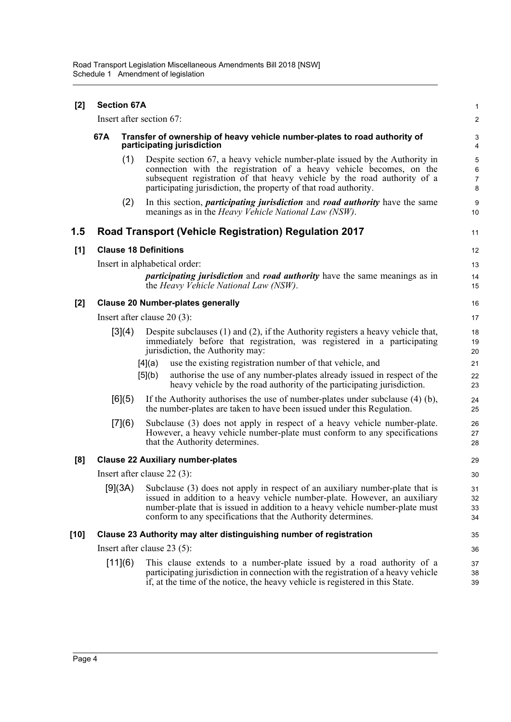| $[2]$ | <b>Section 67A</b>                                                  |                              |                                                                                                                                                                                                                                                                                                           | $\mathbf{1}$                           |  |
|-------|---------------------------------------------------------------------|------------------------------|-----------------------------------------------------------------------------------------------------------------------------------------------------------------------------------------------------------------------------------------------------------------------------------------------------------|----------------------------------------|--|
|       | Insert after section 67:                                            |                              |                                                                                                                                                                                                                                                                                                           |                                        |  |
|       | 67A                                                                 |                              | Transfer of ownership of heavy vehicle number-plates to road authority of<br>participating jurisdiction                                                                                                                                                                                                   |                                        |  |
|       |                                                                     | (1)                          | Despite section 67, a heavy vehicle number-plate issued by the Authority in<br>connection with the registration of a heavy vehicle becomes, on the<br>subsequent registration of that heavy vehicle by the road authority of a<br>participating jurisdiction, the property of that road authority.        | $\sqrt{5}$<br>6<br>$\overline{7}$<br>8 |  |
|       |                                                                     | (2)                          | In this section, <i>participating jurisdiction</i> and <i>road authority</i> have the same<br>meanings as in the <i>Heavy Vehicle National Law (NSW)</i> .                                                                                                                                                | 9<br>10                                |  |
| 1.5   |                                                                     |                              | <b>Road Transport (Vehicle Registration) Regulation 2017</b>                                                                                                                                                                                                                                              | 11                                     |  |
| [1]   |                                                                     | <b>Clause 18 Definitions</b> |                                                                                                                                                                                                                                                                                                           |                                        |  |
|       |                                                                     |                              | Insert in alphabetical order:                                                                                                                                                                                                                                                                             | 13                                     |  |
|       |                                                                     |                              | <i>participating jurisdiction</i> and <i>road authority</i> have the same meanings as in<br>the Heavy Vehicle National Law (NSW).                                                                                                                                                                         | 14<br>15                               |  |
| $[2]$ | <b>Clause 20 Number-plates generally</b>                            |                              |                                                                                                                                                                                                                                                                                                           |                                        |  |
|       | Insert after clause $20(3)$ :                                       |                              |                                                                                                                                                                                                                                                                                                           |                                        |  |
|       |                                                                     | [3](4)                       | Despite subclauses $(1)$ and $(2)$ , if the Authority registers a heavy vehicle that,<br>immediately before that registration, was registered in a participating<br>jurisdiction, the Authority may:                                                                                                      | 18<br>19<br>20                         |  |
|       |                                                                     |                              | use the existing registration number of that vehicle, and<br>[4](a)                                                                                                                                                                                                                                       | 21                                     |  |
|       |                                                                     |                              | [5](b)<br>authorise the use of any number-plates already issued in respect of the<br>heavy vehicle by the road authority of the participating jurisdiction.                                                                                                                                               | 22<br>23                               |  |
|       |                                                                     | [6](5)                       | If the Authority authorises the use of number-plates under subclause $(4)$ (b),<br>the number-plates are taken to have been issued under this Regulation.                                                                                                                                                 | 24<br>25                               |  |
|       |                                                                     | [7] (6)                      | Subclause (3) does not apply in respect of a heavy vehicle number-plate.<br>However, a heavy vehicle number-plate must conform to any specifications<br>that the Authority determines.                                                                                                                    | 26<br>27<br>28                         |  |
| [8]   |                                                                     |                              | <b>Clause 22 Auxiliary number-plates</b>                                                                                                                                                                                                                                                                  | 29                                     |  |
|       |                                                                     |                              | Insert after clause $22(3)$ :                                                                                                                                                                                                                                                                             | 30                                     |  |
|       |                                                                     | [9](3A)                      | Subclause (3) does not apply in respect of an auxiliary number-plate that is<br>issued in addition to a heavy vehicle number-plate. However, an auxiliary<br>number-plate that is issued in addition to a heavy vehicle number-plate must<br>conform to any specifications that the Authority determines. | 31<br>32<br>33<br>34                   |  |
| [10]  | Clause 23 Authority may alter distinguishing number of registration |                              |                                                                                                                                                                                                                                                                                                           |                                        |  |
|       | Insert after clause $23(5)$ :                                       |                              |                                                                                                                                                                                                                                                                                                           |                                        |  |
|       |                                                                     | [11] (6)                     | This clause extends to a number-plate issued by a road authority of a<br>participating jurisdiction in connection with the registration of a heavy vehicle<br>if, at the time of the notice, the heavy vehicle is registered in this State.                                                               | 37<br>38<br>39                         |  |